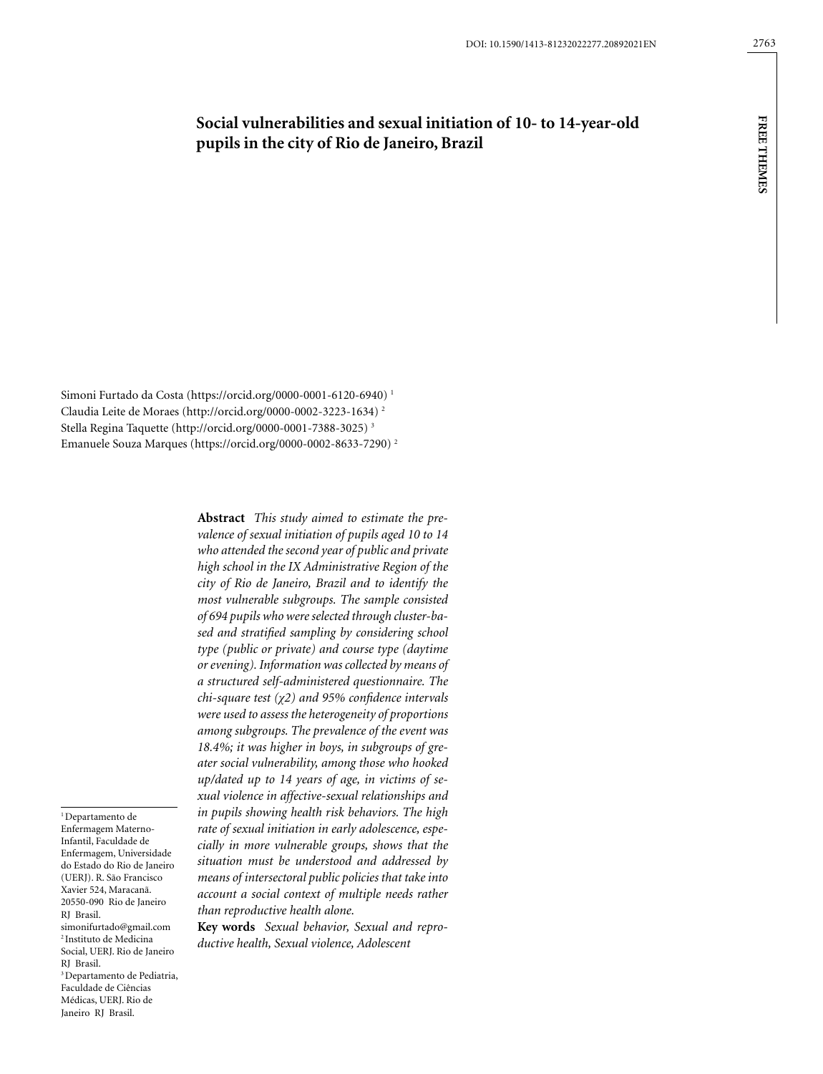# **Social vulnerabilities and sexual initiation of 10- to 14-year-old pupils in the city of Rio de Janeiro, Brazil**

Simoni Furtado da Costa (https://orcid.org/0000-0001-6120-6940) 1 Claudia Leite de Moraes (http://orcid.org/0000-0002-3223-1634) 2 Stella Regina Taquette (http://orcid.org/0000-0001-7388-3025) 3 Emanuele Souza Marques (https://orcid.org/0000-0002-8633-7290) 2

> **Abstract** *This study aimed to estimate the prevalence of sexual initiation of pupils aged 10 to 14 who attended the second year of public and private high school in the IX Administrative Region of the city of Rio de Janeiro, Brazil and to identify the most vulnerable subgroups. The sample consisted of 694 pupils who were selected through cluster-based and stratified sampling by considering school type (public or private) and course type (daytime or evening). Information was collected by means of a structured self-administered questionnaire. The chi-square test (χ2) and 95% confidence intervals were used to assess the heterogeneity of proportions among subgroups. The prevalence of the event was 18.4%; it was higher in boys, in subgroups of greater social vulnerability, among those who hooked up/dated up to 14 years of age, in victims of sexual violence in affective-sexual relationships and in pupils showing health risk behaviors. The high rate of sexual initiation in early adolescence, especially in more vulnerable groups, shows that the situation must be understood and addressed by means of intersectoral public policies that take into account a social context of multiple needs rather than reproductive health alone.*

> **Key words** *Sexual behavior, Sexual and reproductive health, Sexual violence, Adolescent*

<sup>1</sup> Departamento de Enfermagem Materno-Infantil, Faculdade de Enfermagem, Universidade do Estado do Rio de Janeiro (UERJ). R. São Francisco Xavier 524, Maracanã. 20550-090 Rio de Janeiro RJ Brasil. simonifurtado@gmail.com 2 Instituto de Medicina Social, UERJ. Rio de Janeiro RJ Brasil. 3 Departamento de Pediatria, Faculdade de Ciências Médicas, UERJ. Rio de Janeiro RJ Brasil.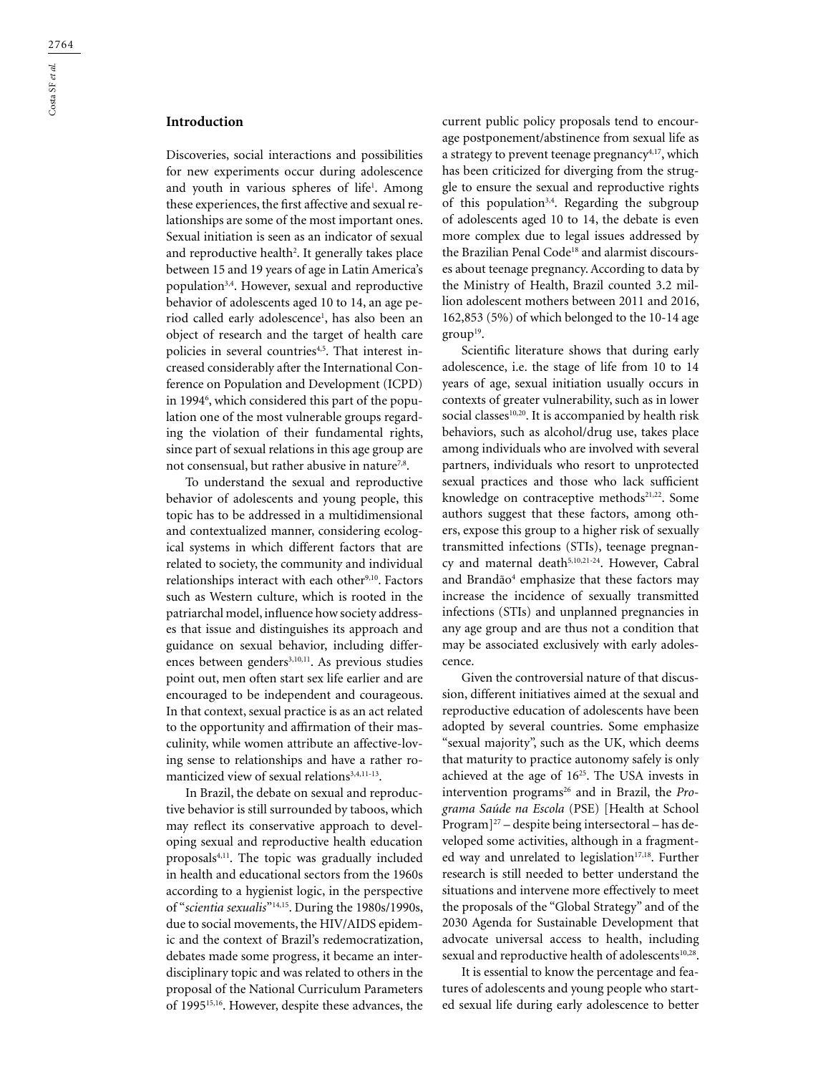# **Introduction**

Discoveries, social interactions and possibilities for new experiments occur during adolescence and youth in various spheres of life<sup>1</sup>. Among these experiences, the first affective and sexual relationships are some of the most important ones. Sexual initiation is seen as an indicator of sexual and reproductive health<sup>2</sup>. It generally takes place between 15 and 19 years of age in Latin America's population3,4. However, sexual and reproductive behavior of adolescents aged 10 to 14, an age period called early adolescence<sup>1</sup>, has also been an object of research and the target of health care policies in several countries<sup>4,5</sup>. That interest increased considerably after the International Conference on Population and Development (ICPD) in 1994<sup>6</sup>, which considered this part of the population one of the most vulnerable groups regarding the violation of their fundamental rights, since part of sexual relations in this age group are not consensual, but rather abusive in nature<sup>7,8</sup>.

To understand the sexual and reproductive behavior of adolescents and young people, this topic has to be addressed in a multidimensional and contextualized manner, considering ecological systems in which different factors that are related to society, the community and individual relationships interact with each other<sup>9,10</sup>. Factors such as Western culture, which is rooted in the patriarchal model, influence how society addresses that issue and distinguishes its approach and guidance on sexual behavior, including differences between genders<sup>3,10,11</sup>. As previous studies point out, men often start sex life earlier and are encouraged to be independent and courageous. In that context, sexual practice is as an act related to the opportunity and affirmation of their masculinity, while women attribute an affective-loving sense to relationships and have a rather romanticized view of sexual relations<sup>3,4,11-13</sup>.

In Brazil, the debate on sexual and reproductive behavior is still surrounded by taboos, which may reflect its conservative approach to developing sexual and reproductive health education proposals4,11. The topic was gradually included in health and educational sectors from the 1960s according to a hygienist logic, in the perspective of "*scientia sexualis*"14,15. During the 1980s/1990s, due to social movements, the HIV/AIDS epidemic and the context of Brazil's redemocratization, debates made some progress, it became an interdisciplinary topic and was related to others in the proposal of the National Curriculum Parameters of 199515,16. However, despite these advances, the

current public policy proposals tend to encourage postponement/abstinence from sexual life as a strategy to prevent teenage pregnancy<sup>4,17</sup>, which has been criticized for diverging from the struggle to ensure the sexual and reproductive rights of this population<sup>3,4</sup>. Regarding the subgroup of adolescents aged 10 to 14, the debate is even more complex due to legal issues addressed by the Brazilian Penal Code<sup>18</sup> and alarmist discourses about teenage pregnancy. According to data by the Ministry of Health, Brazil counted 3.2 million adolescent mothers between 2011 and 2016, 162,853 (5%) of which belonged to the 10-14 age  $group<sup>19</sup>$ .

Scientific literature shows that during early adolescence, i.e. the stage of life from 10 to 14 years of age, sexual initiation usually occurs in contexts of greater vulnerability, such as in lower social classes<sup>10,20</sup>. It is accompanied by health risk behaviors, such as alcohol/drug use, takes place among individuals who are involved with several partners, individuals who resort to unprotected sexual practices and those who lack sufficient knowledge on contraceptive methods<sup>21,22</sup>. Some authors suggest that these factors, among others, expose this group to a higher risk of sexually transmitted infections (STIs), teenage pregnancy and maternal death<sup>5,10,21-24</sup>. However, Cabral and Brandão<sup>4</sup> emphasize that these factors may increase the incidence of sexually transmitted infections (STIs) and unplanned pregnancies in any age group and are thus not a condition that may be associated exclusively with early adolescence.

Given the controversial nature of that discussion, different initiatives aimed at the sexual and reproductive education of adolescents have been adopted by several countries. Some emphasize "sexual majority", such as the UK, which deems that maturity to practice autonomy safely is only achieved at the age of 1625. The USA invests in intervention programs<sup>26</sup> and in Brazil, the *Programa Saúde na Escola* (PSE) [Health at School Program]27 – despite being intersectoral – has developed some activities, although in a fragmented way and unrelated to legislation<sup>17,18</sup>. Further research is still needed to better understand the situations and intervene more effectively to meet the proposals of the "Global Strategy" and of the 2030 Agenda for Sustainable Development that advocate universal access to health, including sexual and reproductive health of adolescents<sup>10,28</sup>.

It is essential to know the percentage and features of adolescents and young people who started sexual life during early adolescence to better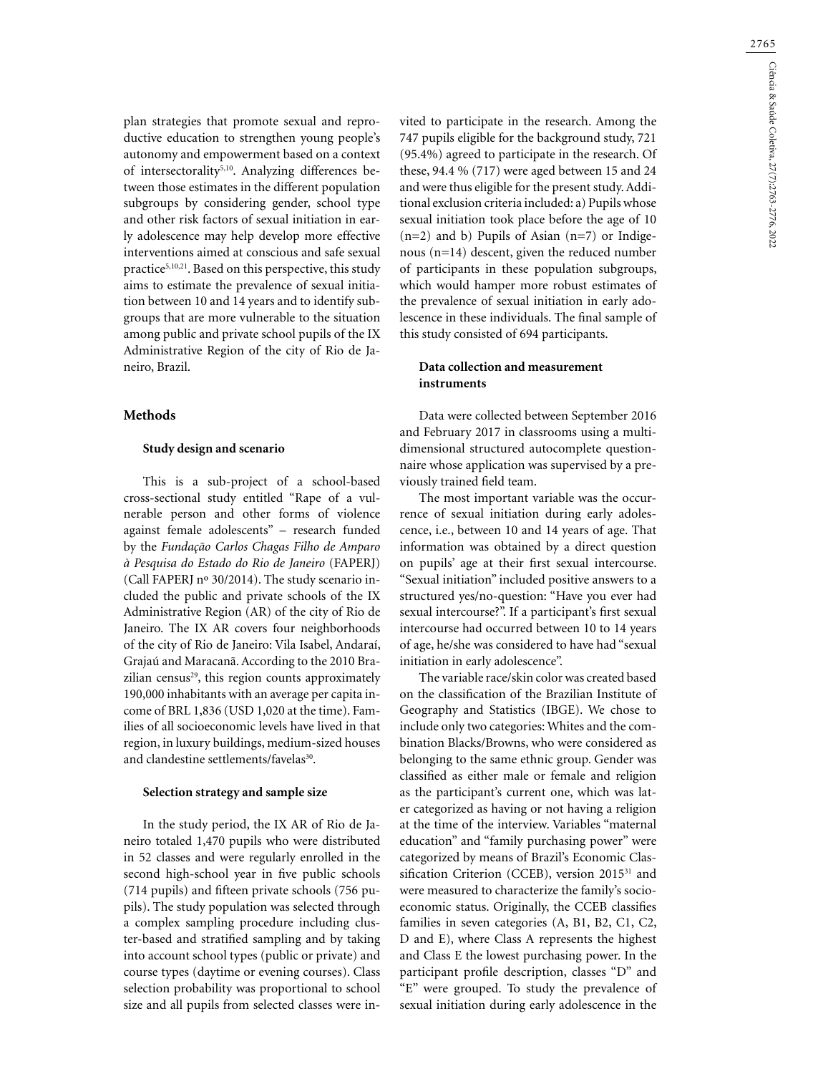2765

plan strategies that promote sexual and reproductive education to strengthen young people's autonomy and empowerment based on a context of intersectorality<sup>5,10</sup>. Analyzing differences between those estimates in the different population subgroups by considering gender, school type and other risk factors of sexual initiation in early adolescence may help develop more effective interventions aimed at conscious and safe sexual practice<sup>5,10,21</sup>. Based on this perspective, this study aims to estimate the prevalence of sexual initiation between 10 and 14 years and to identify subgroups that are more vulnerable to the situation among public and private school pupils of the IX Administrative Region of the city of Rio de Janeiro, Brazil.

### **Methods**

### **Study design and scenario**

This is a sub-project of a school-based cross-sectional study entitled "Rape of a vulnerable person and other forms of violence against female adolescents" – research funded by the *Fundação Carlos Chagas Filho de Amparo à Pesquisa do Estado do Rio de Janeiro* (FAPERJ) (Call FAPERJ nº 30/2014). The study scenario included the public and private schools of the IX Administrative Region (AR) of the city of Rio de Janeiro. The IX AR covers four neighborhoods of the city of Rio de Janeiro: Vila Isabel, Andaraí, Grajaú and Maracanã. According to the 2010 Brazilian census<sup>29</sup>, this region counts approximately 190,000 inhabitants with an average per capita income of BRL 1,836 (USD 1,020 at the time). Families of all socioeconomic levels have lived in that region, in luxury buildings, medium-sized houses and clandestine settlements/favelas<sup>30</sup>.

### **Selection strategy and sample size**

In the study period, the IX AR of Rio de Janeiro totaled 1,470 pupils who were distributed in 52 classes and were regularly enrolled in the second high-school year in five public schools (714 pupils) and fifteen private schools (756 pupils). The study population was selected through a complex sampling procedure including cluster-based and stratified sampling and by taking into account school types (public or private) and course types (daytime or evening courses). Class selection probability was proportional to school size and all pupils from selected classes were in-

vited to participate in the research. Among the 747 pupils eligible for the background study, 721 (95.4%) agreed to participate in the research. Of these, 94.4 % (717) were aged between 15 and 24 and were thus eligible for the present study. Additional exclusion criteria included: a) Pupils whose sexual initiation took place before the age of 10 (n=2) and b) Pupils of Asian (n=7) or Indigenous (n=14) descent, given the reduced number of participants in these population subgroups, which would hamper more robust estimates of the prevalence of sexual initiation in early adolescence in these individuals. The final sample of this study consisted of 694 participants.

## **Data collection and measurement instruments**

Data were collected between September 2016 and February 2017 in classrooms using a multidimensional structured autocomplete questionnaire whose application was supervised by a previously trained field team.

The most important variable was the occurrence of sexual initiation during early adolescence, i.e., between 10 and 14 years of age. That information was obtained by a direct question on pupils' age at their first sexual intercourse. "Sexual initiation" included positive answers to a structured yes/no-question: "Have you ever had sexual intercourse?". If a participant's first sexual intercourse had occurred between 10 to 14 years of age, he/she was considered to have had "sexual initiation in early adolescence".

The variable race/skin color was created based on the classification of the Brazilian Institute of Geography and Statistics (IBGE). We chose to include only two categories: Whites and the combination Blacks/Browns, who were considered as belonging to the same ethnic group. Gender was classified as either male or female and religion as the participant's current one, which was later categorized as having or not having a religion at the time of the interview. Variables "maternal education" and "family purchasing power" were categorized by means of Brazil's Economic Classification Criterion (CCEB), version 2015<sup>31</sup> and were measured to characterize the family's socioeconomic status. Originally, the CCEB classifies families in seven categories (A, B1, B2, C1, C2, D and E), where Class A represents the highest and Class E the lowest purchasing power. In the participant profile description, classes "D" and "E" were grouped. To study the prevalence of sexual initiation during early adolescence in the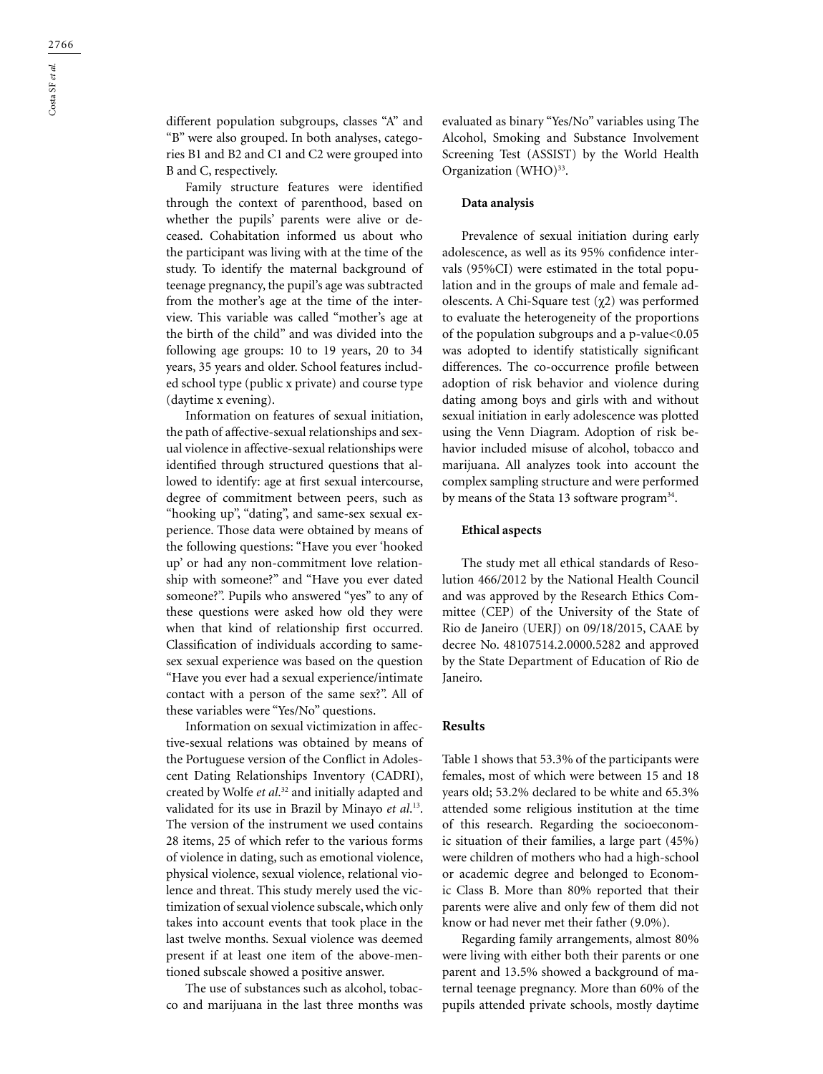different population subgroups, classes "A" and "B" were also grouped. In both analyses, categories B1 and B2 and C1 and C2 were grouped into B and C, respectively.

Family structure features were identified through the context of parenthood, based on whether the pupils' parents were alive or deceased. Cohabitation informed us about who the participant was living with at the time of the study. To identify the maternal background of teenage pregnancy, the pupil's age was subtracted from the mother's age at the time of the interview. This variable was called "mother's age at the birth of the child" and was divided into the following age groups: 10 to 19 years, 20 to 34 years, 35 years and older. School features included school type (public x private) and course type (daytime x evening).

Information on features of sexual initiation, the path of affective-sexual relationships and sexual violence in affective-sexual relationships were identified through structured questions that allowed to identify: age at first sexual intercourse, degree of commitment between peers, such as "hooking up", "dating", and same-sex sexual experience. Those data were obtained by means of the following questions: "Have you ever 'hooked up' or had any non-commitment love relationship with someone?" and "Have you ever dated someone?". Pupils who answered "yes" to any of these questions were asked how old they were when that kind of relationship first occurred. Classification of individuals according to samesex sexual experience was based on the question "Have you ever had a sexual experience/intimate contact with a person of the same sex?". All of these variables were "Yes/No" questions.

Information on sexual victimization in affective-sexual relations was obtained by means of the Portuguese version of the Conflict in Adolescent Dating Relationships Inventory (CADRI), created by Wolfe *et al*. 32 and initially adapted and validated for its use in Brazil by Minayo *et al*. 13. The version of the instrument we used contains 28 items, 25 of which refer to the various forms of violence in dating, such as emotional violence, physical violence, sexual violence, relational violence and threat. This study merely used the victimization of sexual violence subscale, which only takes into account events that took place in the last twelve months. Sexual violence was deemed present if at least one item of the above-mentioned subscale showed a positive answer.

The use of substances such as alcohol, tobacco and marijuana in the last three months was evaluated as binary "Yes/No" variables using The Alcohol, Smoking and Substance Involvement Screening Test (ASSIST) by the World Health Organization (WHO)<sup>33</sup>.

#### **Data analysis**

Prevalence of sexual initiation during early adolescence, as well as its 95% confidence intervals (95%CI) were estimated in the total population and in the groups of male and female adolescents. A Chi-Square test (χ2) was performed to evaluate the heterogeneity of the proportions of the population subgroups and a p-value<0.05 was adopted to identify statistically significant differences. The co-occurrence profile between adoption of risk behavior and violence during dating among boys and girls with and without sexual initiation in early adolescence was plotted using the Venn Diagram. Adoption of risk behavior included misuse of alcohol, tobacco and marijuana. All analyzes took into account the complex sampling structure and were performed by means of the Stata 13 software program<sup>34</sup>.

#### **Ethical aspects**

The study met all ethical standards of Resolution 466/2012 by the National Health Council and was approved by the Research Ethics Committee (CEP) of the University of the State of Rio de Janeiro (UERJ) on 09/18/2015, CAAE by decree No. 48107514.2.0000.5282 and approved by the State Department of Education of Rio de Janeiro.

## **Results**

Table 1 shows that 53.3% of the participants were females, most of which were between 15 and 18 years old; 53.2% declared to be white and 65.3% attended some religious institution at the time of this research. Regarding the socioeconomic situation of their families, a large part (45%) were children of mothers who had a high-school or academic degree and belonged to Economic Class B. More than 80% reported that their parents were alive and only few of them did not know or had never met their father (9.0%).

Regarding family arrangements, almost 80% were living with either both their parents or one parent and 13.5% showed a background of maternal teenage pregnancy. More than 60% of the pupils attended private schools, mostly daytime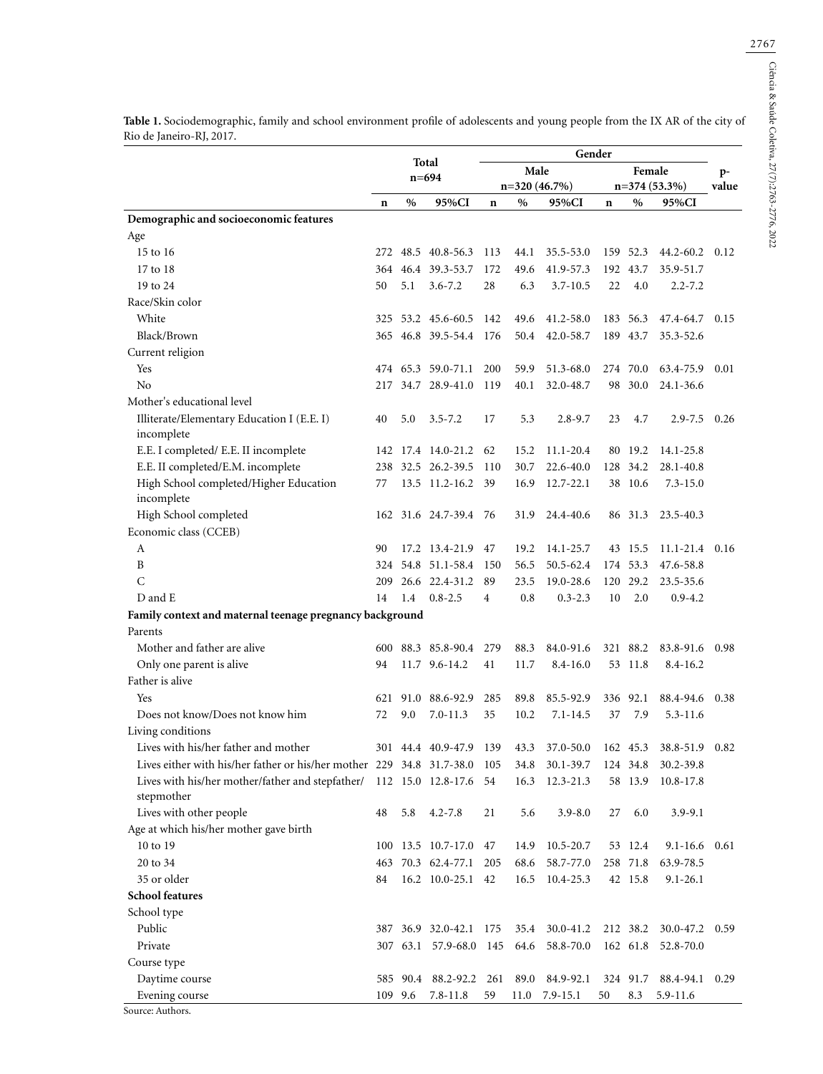|                                                                           | Total |      |                    |                | Gender |                |             |          |                |             |  |  |
|---------------------------------------------------------------------------|-------|------|--------------------|----------------|--------|----------------|-------------|----------|----------------|-------------|--|--|
|                                                                           |       |      | $n = 694$          |                | Male   |                |             | Female   |                | p-<br>value |  |  |
|                                                                           |       |      |                    |                |        | $n=320(46.7%)$ |             |          | $n=374(53.3%)$ |             |  |  |
|                                                                           | n     | $\%$ | 95%CI              | $\mathbf n$    | $\%$   | 95%CI          | $\mathbf n$ | $\%$     | 95%CI          |             |  |  |
| Demographic and socioeconomic features                                    |       |      |                    |                |        |                |             |          |                |             |  |  |
| Age                                                                       |       |      |                    |                |        |                |             |          |                |             |  |  |
| 15 to 16                                                                  | 272   | 48.5 | 40.8-56.3          | 113            | 44.1   | 35.5-53.0      |             | 159 52.3 | 44.2-60.2      | 0.12        |  |  |
| 17 to 18                                                                  | 364   |      | 46.4 39.3-53.7     | 172            | 49.6   | 41.9-57.3      |             | 192 43.7 | 35.9-51.7      |             |  |  |
| 19 to 24                                                                  | 50    | 5.1  | $3.6 - 7.2$        | 28             | 6.3    | $3.7 - 10.5$   | 22          | 4.0      | $2.2 - 7.2$    |             |  |  |
| Race/Skin color                                                           |       |      |                    |                |        |                |             |          |                |             |  |  |
| White                                                                     | 325   |      | 53.2 45.6-60.5     | 142            | 49.6   | 41.2-58.0      | 183         | 56.3     | 47.4-64.7      | 0.15        |  |  |
| Black/Brown                                                               |       |      | 365 46.8 39.5-54.4 | 176            | 50.4   | 42.0-58.7      |             | 189 43.7 | 35.3-52.6      |             |  |  |
| Current religion                                                          |       |      |                    |                |        |                |             |          |                |             |  |  |
| Yes                                                                       |       |      | 474 65.3 59.0-71.1 | 200            | 59.9   | 51.3-68.0      |             | 274 70.0 | 63.4-75.9      | 0.01        |  |  |
| No                                                                        | 217   |      | 34.7 28.9-41.0     | 119            | 40.1   | 32.0-48.7      |             | 98 30.0  | 24.1-36.6      |             |  |  |
| Mother's educational level                                                |       |      |                    |                |        |                |             |          |                |             |  |  |
| Illiterate/Elementary Education I (E.E. I)<br>incomplete                  | 40    | 5.0  | $3.5 - 7.2$        | 17             | 5.3    | $2.8 - 9.7$    | 23          | 4.7      | $2.9 - 7.5$    | 0.26        |  |  |
| E.E. I completed/ E.E. II incomplete                                      |       |      | 142 17.4 14.0-21.2 | 62             | 15.2   | 11.1-20.4      |             | 80 19.2  | 14.1-25.8      |             |  |  |
| E.E. II completed/E.M. incomplete                                         | 238   |      | 32.5 26.2-39.5     | 110            | 30.7   | 22.6-40.0      | 128         | 34.2     | 28.1-40.8      |             |  |  |
| High School completed/Higher Education<br>incomplete                      | 77    |      | 13.5 11.2-16.2     | 39             | 16.9   | $12.7 - 22.1$  |             | 38 10.6  | $7.3 - 15.0$   |             |  |  |
| High School completed                                                     |       |      | 162 31.6 24.7-39.4 | - 76           | 31.9   | 24.4-40.6      |             | 86 31.3  | 23.5-40.3      |             |  |  |
| Economic class (CCEB)                                                     |       |      |                    |                |        |                |             |          |                |             |  |  |
| A                                                                         | 90    |      | 17.2 13.4-21.9     | 47             | 19.2   | 14.1-25.7      |             | 43 15.5  | $11.1 - 21.4$  | 0.16        |  |  |
| B                                                                         |       |      | 324 54.8 51.1-58.4 | 150            | 56.5   | 50.5-62.4      |             | 174 53.3 | 47.6-58.8      |             |  |  |
| C                                                                         | 209   |      | 26.6 22.4-31.2     | 89             | 23.5   | 19.0-28.6      | 120         | 29.2     | 23.5-35.6      |             |  |  |
| D and E                                                                   | 14    | 1.4  | $0.8 - 2.5$        | $\overline{4}$ | 0.8    | $0.3 - 2.3$    | 10          | 2.0      | $0.9 - 4.2$    |             |  |  |
| Family context and maternal teenage pregnancy background                  |       |      |                    |                |        |                |             |          |                |             |  |  |
| Parents                                                                   |       |      |                    |                |        |                |             |          |                |             |  |  |
| Mother and father are alive                                               | 600   |      | 88.3 85.8-90.4     | 279            | 88.3   | 84.0-91.6      |             | 321 88.2 | 83.8-91.6      | 0.98        |  |  |
| Only one parent is alive                                                  | 94    |      | 11.7 9.6-14.2      | 41             | 11.7   | $8.4 - 16.0$   |             | 53 11.8  | $8.4 - 16.2$   |             |  |  |
| Father is alive                                                           |       |      |                    |                |        |                |             |          |                |             |  |  |
| Yes                                                                       | 621   |      | 91.0 88.6-92.9     | 285            | 89.8   | 85.5-92.9      |             | 336 92.1 | 88.4-94.6      | 0.38        |  |  |
| Does not know/Does not know him                                           | 72    | 9.0  | $7.0 - 11.3$       | 35             | 10.2   | $7.1 - 14.5$   | 37          | 7.9      | $5.3 - 11.6$   |             |  |  |
| Living conditions                                                         |       |      |                    |                |        |                |             |          |                |             |  |  |
| Lives with his/her father and mother                                      |       |      | 301 44.4 40.9-47.9 | 139            | 43.3   | 37.0-50.0      |             | 162 45.3 | 38.8-51.9      | 0.82        |  |  |
| Lives either with his/her father or his/her mother 229 34.8 31.7-38.0 105 |       |      |                    |                | 34.8   | 30.1-39.7      | 124 34.8    |          | 30.2-39.8      |             |  |  |
| Lives with his/her mother/father and stepfather/ 112 15.0 12.8-17.6       |       |      |                    | 54             | 16.3   | 12.3-21.3      | 58          | 13.9     | 10.8-17.8      |             |  |  |
| stepmother                                                                |       |      |                    |                |        |                |             |          |                |             |  |  |
| Lives with other people                                                   | 48    | 5.8  | $4.2 - 7.8$        | 21             | 5.6    | $3.9 - 8.0$    | 27          | 6.0      | $3.9 - 9.1$    |             |  |  |
| Age at which his/her mother gave birth                                    |       |      |                    |                |        |                |             |          |                |             |  |  |
| 10 to 19                                                                  |       |      | 100 13.5 10.7-17.0 | 47             | 14.9   | $10.5 - 20.7$  |             | 53 12.4  | $9.1 - 16.6$   | 0.61        |  |  |
| 20 to 34                                                                  | 463   |      | 70.3 62.4-77.1     | 205            | 68.6   | 58.7-77.0      |             | 258 71.8 | 63.9-78.5      |             |  |  |
| 35 or older                                                               | 84    |      | 16.2 10.0-25.1 42  |                | 16.5   | 10.4-25.3      |             | 42 15.8  | $9.1 - 26.1$   |             |  |  |
| <b>School features</b>                                                    |       |      |                    |                |        |                |             |          |                |             |  |  |
| School type                                                               |       |      |                    |                |        |                |             |          |                |             |  |  |
| Public                                                                    |       |      | 387 36.9 32.0-42.1 | 175            | 35.4   | 30.0-41.2      |             | 212 38.2 | 30.0-47.2      | 0.59        |  |  |
| Private                                                                   |       |      | 307 63.1 57.9-68.0 | 145            | 64.6   | 58.8-70.0      |             | 162 61.8 | 52.8-70.0      |             |  |  |
| Course type                                                               |       |      |                    |                |        |                |             |          |                |             |  |  |
| Daytime course                                                            |       |      | 585 90.4 88.2-92.2 | 261            | 89.0   | 84.9-92.1      |             | 324 91.7 | 88.4-94.1      | 0.29        |  |  |
| Evening course                                                            | 109   | 9.6  | $7.8 - 11.8$       | 59             | 11.0   | $7.9 - 15.1$   | 50          | 8.3      | 5.9-11.6       |             |  |  |
| Course Auth                                                               |       |      |                    |                |        |                |             |          |                |             |  |  |

**Table 1.** Sociodemographic, family and school environment profile of adolescents and young people from the IX AR of the city of Rio de Janeiro-RJ, 2017.

Source: Authors.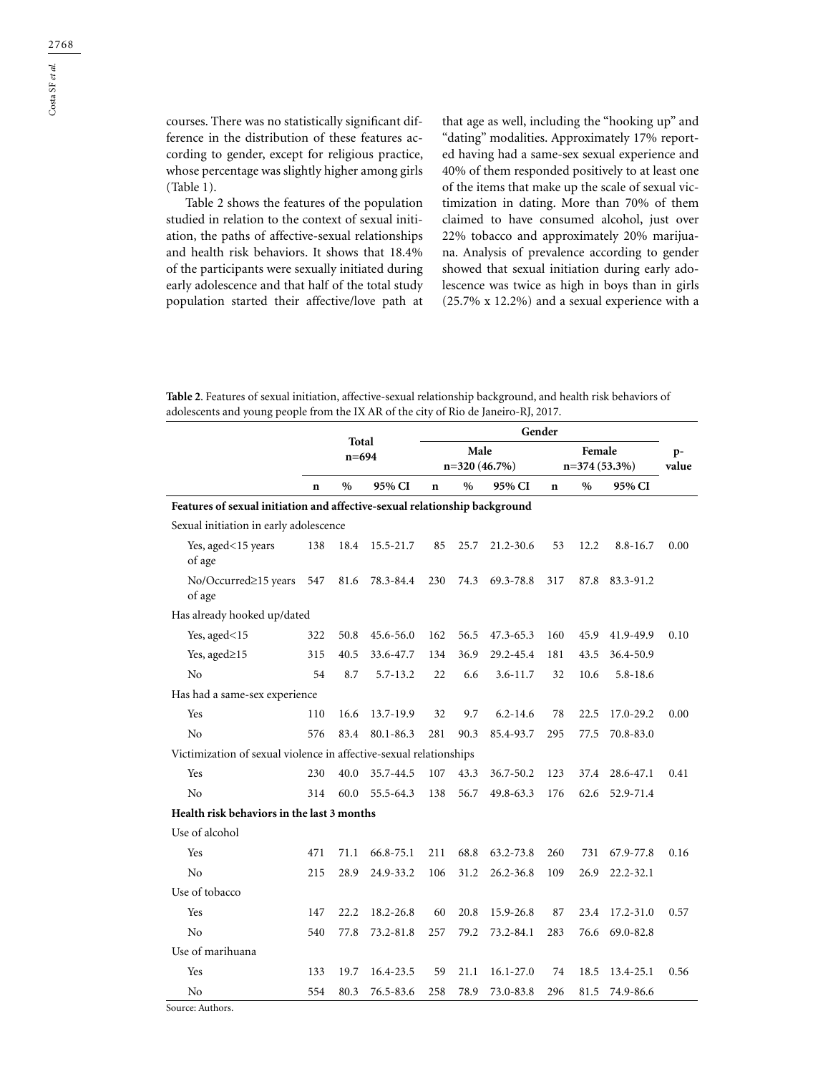courses. There was no statistically significant difference in the distribution of these features according to gender, except for religious practice, whose percentage was slightly higher among girls (Table 1).

Table 2 shows the features of the population studied in relation to the context of sexual initiation, the paths of affective-sexual relationships and health risk behaviors. It shows that 18.4% of the participants were sexually initiated during early adolescence and that half of the total study population started their affective/love path at

that age as well, including the "hooking up" and "dating" modalities. Approximately 17% reported having had a same-sex sexual experience and 40% of them responded positively to at least one of the items that make up the scale of sexual victimization in dating. More than 70% of them claimed to have consumed alcohol, just over 22% tobacco and approximately 20% marijuana. Analysis of prevalence according to gender showed that sexual initiation during early adolescence was twice as high in boys than in girls (25.7% x 12.2%) and a sexual experience with a

**Table 2**. Features of sexual initiation, affective-sexual relationship background, and health risk behaviors of adolescents and young people from the IX AR of the city of Rio de Janeiro-RJ, 2017.

|                                                                            |             | Total         |              | Gender |               |               |                |               |               |      |  |  |
|----------------------------------------------------------------------------|-------------|---------------|--------------|--------|---------------|---------------|----------------|---------------|---------------|------|--|--|
|                                                                            |             | $n = 694$     |              |        | Male          | n=320 (46.7%) | $n=374(53.3%)$ | $p-$<br>value |               |      |  |  |
|                                                                            | $\mathbf n$ | $\frac{0}{0}$ | 95% CI       | n      | $\frac{0}{0}$ | 95% CI        | $\mathbf n$    | $\%$          | 95% CI        |      |  |  |
| Features of sexual initiation and affective-sexual relationship background |             |               |              |        |               |               |                |               |               |      |  |  |
| Sexual initiation in early adolescence                                     |             |               |              |        |               |               |                |               |               |      |  |  |
| Yes, aged<15 years<br>of age                                               | 138         | 18.4          | 15.5-21.7    | 85     | 25.7          | $21.2 - 30.6$ | 53             | 12.2          | $8.8 - 16.7$  | 0.00 |  |  |
| No/Occurred≥15 years<br>of age                                             | 547         | 81.6          | 78.3-84.4    | 230    | 74.3          | 69.3-78.8     | 317            | 87.8          | 83.3-91.2     |      |  |  |
| Has already hooked up/dated                                                |             |               |              |        |               |               |                |               |               |      |  |  |
| Yes, aged<15                                                               | 322         | 50.8          | 45.6-56.0    | 162    | 56.5          | 47.3-65.3     | 160            | 45.9          | 41.9-49.9     | 0.10 |  |  |
| Yes, aged≥15                                                               | 315         | 40.5          | 33.6-47.7    | 134    | 36.9          | 29.2-45.4     | 181            | 43.5          | 36.4-50.9     |      |  |  |
| N <sub>o</sub>                                                             | 54          | 8.7           | $5.7 - 13.2$ | 22     | 6.6           | $3.6 - 11.7$  | 32             | 10.6          | $5.8 - 18.6$  |      |  |  |
| Has had a same-sex experience                                              |             |               |              |        |               |               |                |               |               |      |  |  |
| Yes                                                                        | 110         | 16.6          | 13.7-19.9    | 32     | 9.7           | $6.2 - 14.6$  | 78             | 22.5          | 17.0-29.2     | 0.00 |  |  |
| No                                                                         | 576         | 83.4          | 80.1-86.3    | 281    | 90.3          | 85.4-93.7     | 295            | 77.5          | 70.8-83.0     |      |  |  |
| Victimization of sexual violence in affective-sexual relationships         |             |               |              |        |               |               |                |               |               |      |  |  |
| Yes                                                                        | 230         | 40.0          | 35.7-44.5    | 107    | 43.3          | 36.7-50.2     | 123            | 37.4          | 28.6-47.1     | 0.41 |  |  |
| N <sub>o</sub>                                                             | 314         | 60.0          | 55.5-64.3    | 138    | 56.7          | 49.8-63.3     | 176            | 62.6          | 52.9-71.4     |      |  |  |
| Health risk behaviors in the last 3 months                                 |             |               |              |        |               |               |                |               |               |      |  |  |
| Use of alcohol                                                             |             |               |              |        |               |               |                |               |               |      |  |  |
| Yes                                                                        | 471         | 71.1          | 66.8-75.1    | 211    | 68.8          | 63.2-73.8     | 260            | 731           | 67.9-77.8     | 0.16 |  |  |
| No                                                                         | 215         | 28.9          | 24.9-33.2    | 106    | 31.2          | $26.2 - 36.8$ | 109            | 26.9          | $22.2 - 32.1$ |      |  |  |
| Use of tobacco                                                             |             |               |              |        |               |               |                |               |               |      |  |  |
| Yes                                                                        | 147         | 22.2          | 18.2-26.8    | 60     | 20.8          | 15.9-26.8     | 87             | 23.4          | 17.2-31.0     | 0.57 |  |  |
| No                                                                         | 540         | 77.8          | 73.2-81.8    | 257    | 79.2          | 73.2-84.1     | 283            | 76.6          | 69.0-82.8     |      |  |  |
| Use of marihuana                                                           |             |               |              |        |               |               |                |               |               |      |  |  |
| Yes                                                                        | 133         | 19.7          | 16.4-23.5    | 59     | 21.1          | 16.1-27.0     | 74             | 18.5          | 13.4-25.1     | 0.56 |  |  |
| No                                                                         | 554         | 80.3          | 76.5-83.6    | 258    | 78.9          | 73.0-83.8     | 296            | 81.5          | 74.9-86.6     |      |  |  |

Source: Authors.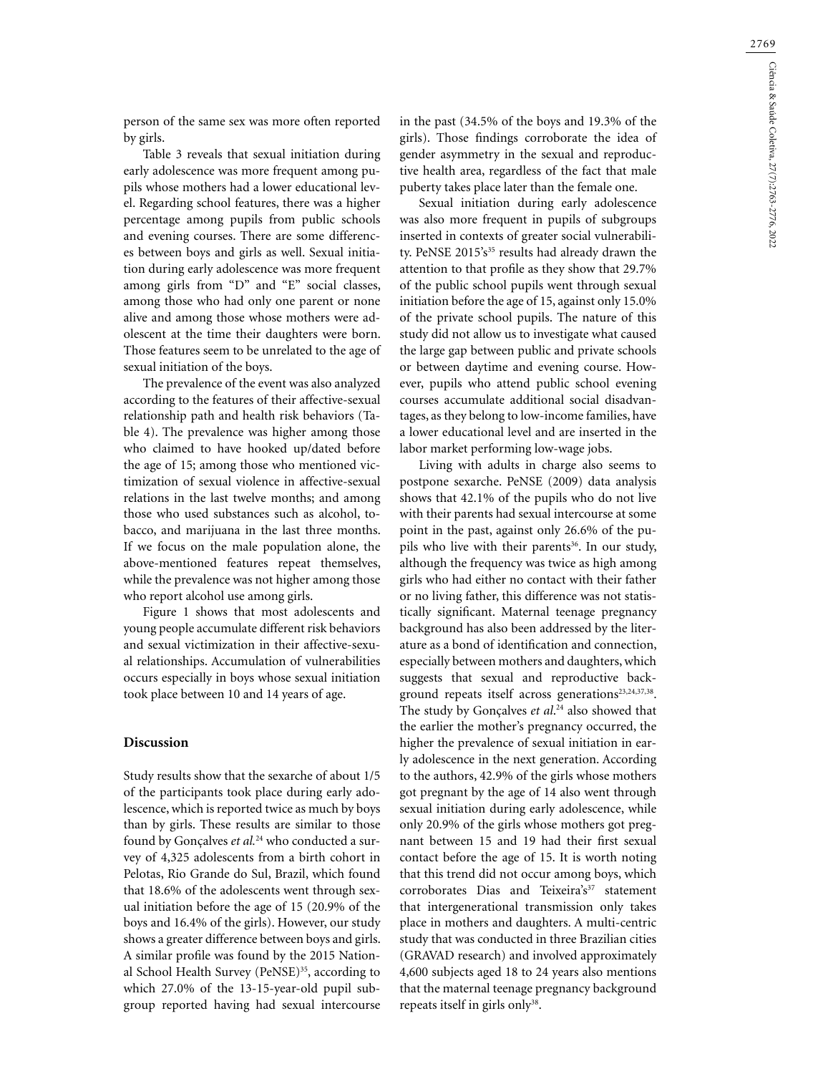person of the same sex was more often reported by girls.

Table 3 reveals that sexual initiation during early adolescence was more frequent among pupils whose mothers had a lower educational level. Regarding school features, there was a higher percentage among pupils from public schools and evening courses. There are some differences between boys and girls as well. Sexual initiation during early adolescence was more frequent among girls from "D" and "E" social classes, among those who had only one parent or none alive and among those whose mothers were adolescent at the time their daughters were born. Those features seem to be unrelated to the age of sexual initiation of the boys.

The prevalence of the event was also analyzed according to the features of their affective-sexual relationship path and health risk behaviors (Table 4). The prevalence was higher among those who claimed to have hooked up/dated before the age of 15; among those who mentioned victimization of sexual violence in affective-sexual relations in the last twelve months; and among those who used substances such as alcohol, tobacco, and marijuana in the last three months. If we focus on the male population alone, the above-mentioned features repeat themselves, while the prevalence was not higher among those who report alcohol use among girls.

Figure 1 shows that most adolescents and young people accumulate different risk behaviors and sexual victimization in their affective-sexual relationships. Accumulation of vulnerabilities occurs especially in boys whose sexual initiation took place between 10 and 14 years of age.

## **Discussion**

Study results show that the sexarche of about 1/5 of the participants took place during early adolescence, which is reported twice as much by boys than by girls. These results are similar to those found by Gonçalves *et al.*24 who conducted a survey of 4,325 adolescents from a birth cohort in Pelotas, Rio Grande do Sul, Brazil, which found that 18.6% of the adolescents went through sexual initiation before the age of 15 (20.9% of the boys and 16.4% of the girls). However, our study shows a greater difference between boys and girls. A similar profile was found by the 2015 National School Health Survey (PeNSE)<sup>35</sup>, according to which 27.0% of the 13-15-year-old pupil subgroup reported having had sexual intercourse

in the past (34.5% of the boys and 19.3% of the girls). Those findings corroborate the idea of gender asymmetry in the sexual and reproductive health area, regardless of the fact that male puberty takes place later than the female one.

Sexual initiation during early adolescence was also more frequent in pupils of subgroups inserted in contexts of greater social vulnerability. PeNSE 2015's<sup>35</sup> results had already drawn the attention to that profile as they show that 29.7% of the public school pupils went through sexual initiation before the age of 15, against only 15.0% of the private school pupils. The nature of this study did not allow us to investigate what caused the large gap between public and private schools or between daytime and evening course. However, pupils who attend public school evening courses accumulate additional social disadvantages, as they belong to low-income families, have a lower educational level and are inserted in the labor market performing low-wage jobs.

Living with adults in charge also seems to postpone sexarche. PeNSE (2009) data analysis shows that 42.1% of the pupils who do not live with their parents had sexual intercourse at some point in the past, against only 26.6% of the pupils who live with their parents<sup>36</sup>. In our study, although the frequency was twice as high among girls who had either no contact with their father or no living father, this difference was not statistically significant. Maternal teenage pregnancy background has also been addressed by the literature as a bond of identification and connection, especially between mothers and daughters, which suggests that sexual and reproductive background repeats itself across generations<sup>23,24,37,38</sup>. The study by Gonçalves *et al*. 24 also showed that the earlier the mother's pregnancy occurred, the higher the prevalence of sexual initiation in early adolescence in the next generation. According to the authors, 42.9% of the girls whose mothers got pregnant by the age of 14 also went through sexual initiation during early adolescence, while only 20.9% of the girls whose mothers got pregnant between 15 and 19 had their first sexual contact before the age of 15. It is worth noting that this trend did not occur among boys, which corroborates Dias and Teixeira's<sup>37</sup> statement that intergenerational transmission only takes place in mothers and daughters. A multi-centric study that was conducted in three Brazilian cities (GRAVAD research) and involved approximately 4,600 subjects aged 18 to 24 years also mentions that the maternal teenage pregnancy background repeats itself in girls only<sup>38</sup>.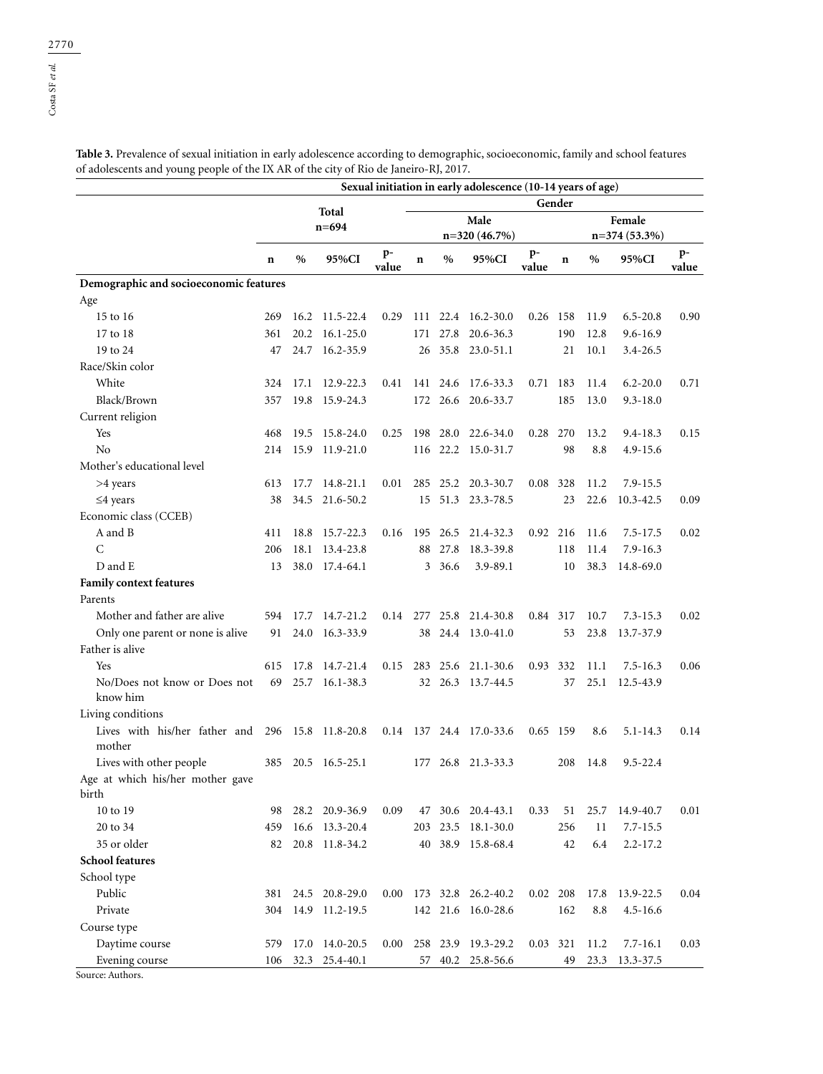**Table 3.** Prevalence of sexual initiation in early adolescence according to demographic, socioeconomic, family and school features of adolescents and young people of the IX AR of the city of Rio de Janeiro-RJ, 2017.

|                                        | Sexual initiation in early adolescence (10-14 years of age) |          |                    |             |        |                |                         |                |        |      |               |               |  |
|----------------------------------------|-------------------------------------------------------------|----------|--------------------|-------------|--------|----------------|-------------------------|----------------|--------|------|---------------|---------------|--|
|                                        |                                                             |          | Total              |             | Gender |                |                         |                |        |      |               |               |  |
|                                        | $n = 694$                                                   |          |                    |             |        |                | Male                    |                | Female |      |               |               |  |
|                                        |                                                             |          |                    |             |        | $n=320(46.7%)$ |                         | $n=374(53.3%)$ |        |      |               |               |  |
|                                        | n                                                           | $\%$     | 95%CI              | p-<br>value | n      | $\%$           | 95%CI                   | $p-$<br>value  | n      | $\%$ | 95%CI         | $p-$<br>value |  |
| Demographic and socioeconomic features |                                                             |          |                    |             |        |                |                         |                |        |      |               |               |  |
| Age                                    |                                                             |          |                    |             |        |                |                         |                |        |      |               |               |  |
| 15 to 16                               | 269                                                         | 16.2     | 11.5-22.4          | 0.29        |        |                | 111 22.4 16.2-30.0      | 0.26           | 158    | 11.9 | $6.5 - 20.8$  | 0.90          |  |
| 17 to 18                               | 361                                                         |          | 20.2 16.1-25.0     |             |        | 171 27.8       | 20.6-36.3               |                | 190    | 12.8 | $9.6 - 16.9$  |               |  |
| 19 to 24                               | 47                                                          |          | 24.7 16.2-35.9     |             | 26     | 35.8           | 23.0-51.1               |                | 21     | 10.1 | $3.4 - 26.5$  |               |  |
| Race/Skin color                        |                                                             |          |                    |             |        |                |                         |                |        |      |               |               |  |
| White                                  | 324                                                         | 17.1     | 12.9-22.3          | 0.41        |        | 141 24.6       | 17.6-33.3               | 0.71           | 183    | 11.4 | $6.2 - 20.0$  | 0.71          |  |
| Black/Brown                            | 357                                                         | 19.8     | 15.9-24.3          |             |        |                | 172 26.6 20.6-33.7      |                | 185    | 13.0 | $9.3 - 18.0$  |               |  |
| Current religion                       |                                                             |          |                    |             |        |                |                         |                |        |      |               |               |  |
| Yes                                    | 468                                                         | 19.5     | 15.8-24.0          | 0.25        |        | 198 28.0       | 22.6-34.0               | 0.28           | 270    | 13.2 | $9.4 - 18.3$  | 0.15          |  |
| N <sub>0</sub>                         | 214                                                         | 15.9     | 11.9-21.0          |             |        |                | 116 22.2 15.0-31.7      |                | 98     | 8.8  | $4.9 - 15.6$  |               |  |
| Mother's educational level             |                                                             |          |                    |             |        |                |                         |                |        |      |               |               |  |
| >4 years                               | 613                                                         | 17.7     | $14.8 - 21.1$      | 0.01        |        | 285 25.2       | 20.3-30.7               | 0.08           | 328    | 11.2 | $7.9 - 15.5$  |               |  |
| $\leq$ 4 years                         | 38                                                          | 34.5     | 21.6-50.2          |             |        | 15 51.3        | 23.3-78.5               |                | 23     | 22.6 | $10.3 - 42.5$ | 0.09          |  |
| Economic class (CCEB)                  |                                                             |          |                    |             |        |                |                         |                |        |      |               |               |  |
| A and B                                | 411                                                         | 18.8     | 15.7-22.3          | 0.16        |        | 195 26.5       | 21.4-32.3               | 0.92 216       |        | 11.6 | $7.5 - 17.5$  | 0.02          |  |
| C                                      | 206                                                         | 18.1     | 13.4-23.8          |             | 88     | 27.8           | 18.3-39.8               |                | 118    | 11.4 | $7.9 - 16.3$  |               |  |
| D and E                                | 13                                                          |          | 38.0 17.4-64.1     |             | 3      | 36.6           | 3.9-89.1                |                | 10     | 38.3 | 14.8-69.0     |               |  |
| <b>Family context features</b>         |                                                             |          |                    |             |        |                |                         |                |        |      |               |               |  |
| Parents                                |                                                             |          |                    |             |        |                |                         |                |        |      |               |               |  |
| Mother and father are alive            |                                                             | 594 17.7 | 14.7-21.2          |             |        |                | 0.14 277 25.8 21.4-30.8 | 0.84 317       |        | 10.7 | $7.3 - 15.3$  | 0.02          |  |
| Only one parent or none is alive       | 91                                                          | 24.0     | 16.3-33.9          |             | 38     | 24.4           | $13.0 - 41.0$           |                | 53     | 23.8 | 13.7-37.9     |               |  |
| Father is alive                        |                                                             |          |                    |             |        |                |                         |                |        |      |               |               |  |
| Yes                                    | 615                                                         | 17.8     | 14.7-21.4          | 0.15        |        | 283 25.6       | 21.1-30.6               | 0.93           | 332    | 11.1 | $7.5 - 16.3$  | 0.06          |  |
| No/Does not know or Does not           | 69                                                          | 25.7     | $16.1 - 38.3$      |             |        | 32 26.3        | 13.7-44.5               |                | 37     | 25.1 | 12.5-43.9     |               |  |
| know him                               |                                                             |          |                    |             |        |                |                         |                |        |      |               |               |  |
| Living conditions                      |                                                             |          |                    |             |        |                |                         |                |        |      |               |               |  |
| Lives with his/her father and          |                                                             |          | 296 15.8 11.8-20.8 |             |        |                | 0.14 137 24.4 17.0-33.6 | 0.65 159       |        | 8.6  | $5.1 - 14.3$  | 0.14          |  |
| mother                                 |                                                             |          |                    |             |        |                |                         |                |        |      |               |               |  |
| Lives with other people                | 385                                                         | 20.5     | $16.5 - 25.1$      |             |        |                | 177 26.8 21.3-33.3      |                | 208    | 14.8 | $9.5 - 22.4$  |               |  |
| Age at which his/her mother gave       |                                                             |          |                    |             |        |                |                         |                |        |      |               |               |  |
| birth                                  |                                                             |          |                    |             |        |                |                         |                |        |      |               |               |  |
| 10 to 19                               | 98                                                          |          | 28.2 20.9-36.9     | 0.09        |        |                | 47 30.6 20.4-43.1       | 0.33           | 51     | 25.7 | 14.9-40.7     | 0.01          |  |
| 20 to 34                               | 459                                                         |          | 16.6 13.3-20.4     |             | 203    | 23.5           | 18.1-30.0               |                | 256    | 11   | $7.7 - 15.5$  |               |  |
| 35 or older                            | 82                                                          |          | 20.8 11.8-34.2     |             | 40     |                | 38.9 15.8-68.4          |                | 42     | 6.4  | $2.2 - 17.2$  |               |  |
| <b>School features</b>                 |                                                             |          |                    |             |        |                |                         |                |        |      |               |               |  |
| School type                            |                                                             |          |                    |             |        |                |                         |                |        |      |               |               |  |
| Public                                 | 381                                                         | 24.5     | $20.8 - 29.0$      | 0.00        |        |                | 173 32.8 26.2-40.2      | 0.02           | 208    | 17.8 | 13.9-22.5     | 0.04          |  |
| Private                                | 304                                                         | 14.9     | 11.2-19.5          |             |        |                | 142 21.6 16.0-28.6      |                | 162    | 8.8  | $4.5 - 16.6$  |               |  |
| Course type                            |                                                             |          |                    |             |        |                |                         |                |        |      |               |               |  |
| Daytime course                         | 579                                                         | 17.0     | 14.0-20.5          | 0.00        |        | 258 23.9       | 19.3-29.2               | 0.03           | 321    | 11.2 | $7.7 - 16.1$  | 0.03          |  |
| Evening course                         | 106                                                         | 32.3     | 25.4-40.1          |             | 57     | 40.2           | 25.8-56.6               |                | 49     | 23.3 | 13.3-37.5     |               |  |
| Source: Authors.                       |                                                             |          |                    |             |        |                |                         |                |        |      |               |               |  |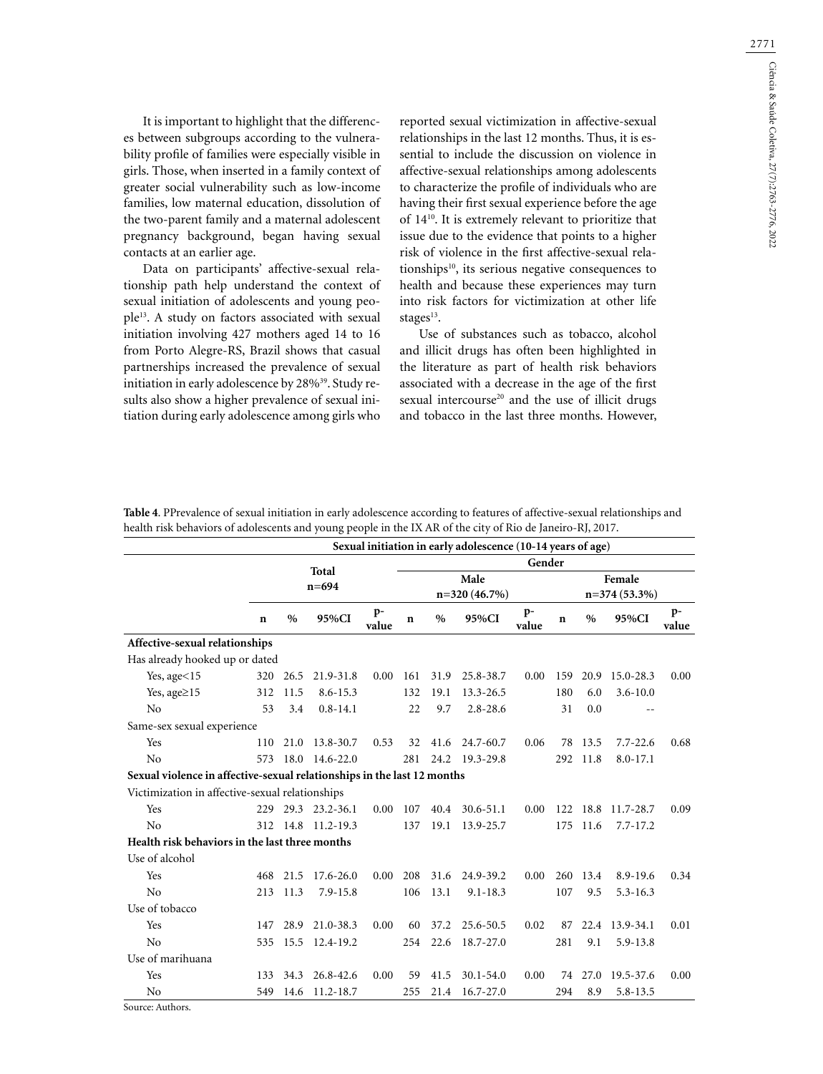2771

It is important to highlight that the differences between subgroups according to the vulnerability profile of families were especially visible in girls. Those, when inserted in a family context of greater social vulnerability such as low-income families, low maternal education, dissolution of the two-parent family and a maternal adolescent pregnancy background, began having sexual contacts at an earlier age.

Data on participants' affective-sexual relationship path help understand the context of sexual initiation of adolescents and young people13. A study on factors associated with sexual initiation involving 427 mothers aged 14 to 16 from Porto Alegre-RS, Brazil shows that casual partnerships increased the prevalence of sexual initiation in early adolescence by 28%<sup>39</sup>. Study results also show a higher prevalence of sexual initiation during early adolescence among girls who

reported sexual victimization in affective-sexual relationships in the last 12 months. Thus, it is essential to include the discussion on violence in affective-sexual relationships among adolescents to characterize the profile of individuals who are having their first sexual experience before the age of 1410. It is extremely relevant to prioritize that issue due to the evidence that points to a higher risk of violence in the first affective-sexual relationships10, its serious negative consequences to health and because these experiences may turn into risk factors for victimization at other life stages<sup>13</sup>.

Use of substances such as tobacco, alcohol and illicit drugs has often been highlighted in the literature as part of health risk behaviors associated with a decrease in the age of the first sexual intercourse<sup>20</sup> and the use of illicit drugs and tobacco in the last three months. However,

**Table 4**. PPrevalence of sexual initiation in early adolescence according to features of affective-sexual relationships and health risk behaviors of adolescents and young people in the IX AR of the city of Rio de Janeiro-RJ, 2017.

|                                                                         |     | Sexual initiation in early adolescence (10-14 years of age) |                    |               |        |      |                |               |                |         |                |               |  |  |
|-------------------------------------------------------------------------|-----|-------------------------------------------------------------|--------------------|---------------|--------|------|----------------|---------------|----------------|---------|----------------|---------------|--|--|
|                                                                         |     |                                                             | Total              |               | Gender |      |                |               |                |         |                |               |  |  |
|                                                                         |     |                                                             | $n = 694$          |               | Male   |      |                |               |                | Female  |                |               |  |  |
|                                                                         |     |                                                             |                    |               |        |      | $n=320(46.7%)$ |               | $n=374(53.3%)$ |         |                |               |  |  |
|                                                                         | n   | $\%$                                                        | 95%CI              | $p-$<br>value | n      | $\%$ | 95%CI          | $p-$<br>value | n              | $\%$    | 95%CI          | $p-$<br>value |  |  |
| Affective-sexual relationships                                          |     |                                                             |                    |               |        |      |                |               |                |         |                |               |  |  |
| Has already hooked up or dated                                          |     |                                                             |                    |               |        |      |                |               |                |         |                |               |  |  |
| Yes, $age<15$                                                           |     | 320 26.5                                                    | 21.9-31.8          | 0.00          | 161    | 31.9 | 25.8-38.7      | 0.00          | 159            | 20.9    | $15.0 - 28.3$  | 0.00          |  |  |
| Yes, age $\geq$ 15                                                      | 312 | 11.5                                                        | $8.6 - 15.3$       |               | 132    | 19.1 | 13.3-26.5      |               | 180            | 6.0     | $3.6 - 10.0$   |               |  |  |
| No                                                                      | 53  | 3.4                                                         | $0.8 - 14.1$       |               | 22     | 9.7  | $2.8 - 28.6$   |               | 31             | 0.0     |                |               |  |  |
| Same-sex sexual experience                                              |     |                                                             |                    |               |        |      |                |               |                |         |                |               |  |  |
| Yes                                                                     | 110 | 21.0                                                        | 13.8-30.7          | 0.53          | 32     | 41.6 | 24.7-60.7      | 0.06          | 78             | 13.5    | $7.7 - 22.6$   | 0.68          |  |  |
| No                                                                      |     |                                                             | 573 18.0 14.6-22.0 |               | 281    |      | 24.2 19.3-29.8 |               | 292            | 11.8    | $8.0 - 17.1$   |               |  |  |
| Sexual violence in affective-sexual relationships in the last 12 months |     |                                                             |                    |               |        |      |                |               |                |         |                |               |  |  |
| Victimization in affective-sexual relationships                         |     |                                                             |                    |               |        |      |                |               |                |         |                |               |  |  |
| Yes                                                                     |     |                                                             | 229 29.3 23.2-36.1 | 0.00          | 107    | 40.4 | $30.6 - 51.1$  | 0.00          | 122            | 18.8    | 11.7-28.7      | 0.09          |  |  |
| No                                                                      | 312 |                                                             | 14.8 11.2-19.3     |               | 137    | 19.1 | 13.9-25.7      |               | 175            | 11.6    | $7.7 - 17.2$   |               |  |  |
| Health risk behaviors in the last three months                          |     |                                                             |                    |               |        |      |                |               |                |         |                |               |  |  |
| Use of alcohol                                                          |     |                                                             |                    |               |        |      |                |               |                |         |                |               |  |  |
| Yes                                                                     | 468 | 21.5                                                        | $17.6 - 26.0$      | 0.00          | 208    | 31.6 | 24.9-39.2      | 0.00          | 260            | 13.4    | 8.9-19.6       | 0.34          |  |  |
| No                                                                      | 213 | 11.3                                                        | $7.9 - 15.8$       |               | 106    | 13.1 | $9.1 - 18.3$   |               | 107            | 9.5     | $5.3 - 16.3$   |               |  |  |
| Use of tobacco                                                          |     |                                                             |                    |               |        |      |                |               |                |         |                |               |  |  |
| Yes                                                                     | 147 | 28.9                                                        | 21.0-38.3          | 0.00          | 60     | 37.2 | 25.6-50.5      | 0.02          | 87             |         | 22.4 13.9-34.1 | 0.01          |  |  |
| No                                                                      | 535 | 15.5                                                        | 12.4-19.2          |               | 254    | 22.6 | 18.7-27.0      |               | 281            | 9.1     | 5.9-13.8       |               |  |  |
| Use of marihuana                                                        |     |                                                             |                    |               |        |      |                |               |                |         |                |               |  |  |
| Yes                                                                     | 133 | 34.3                                                        | 26.8-42.6          | 0.00          | 59     | 41.5 | $30.1 - 54.0$  | 0.00          |                | 74 27.0 | 19.5-37.6      | 0.00          |  |  |
| No                                                                      | 549 | 14.6                                                        | $11.2 - 18.7$      |               | 255    | 21.4 | $16.7 - 27.0$  |               | 294            | 8.9     | $5.8 - 13.5$   |               |  |  |
| $\lambda = -1$                                                          |     |                                                             |                    |               |        |      |                |               |                |         |                |               |  |  |

Source: Authors.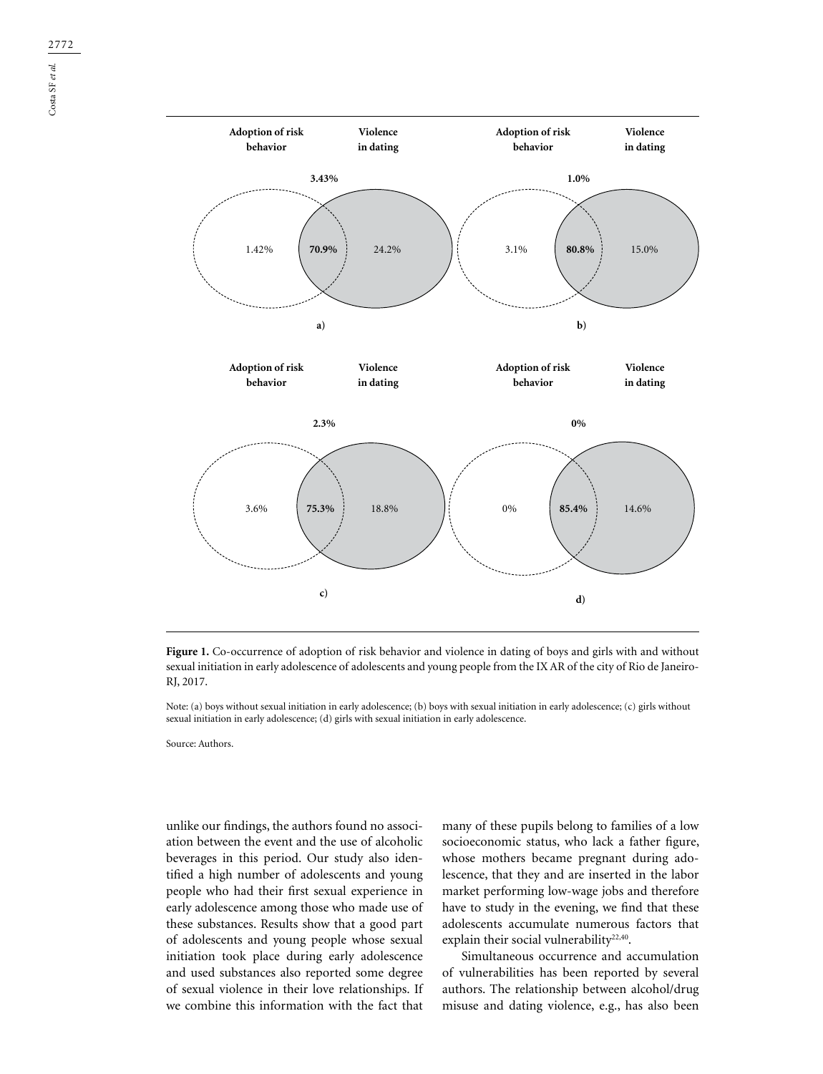

**Figure 1.** Co-occurrence of adoption of risk behavior and violence in dating of boys and girls with and without sexual initiation in early adolescence of adolescents and young people from the IX AR of the city of Rio de Janeiro-RJ, 2017.

Note: (a) boys without sexual initiation in early adolescence; (b) boys with sexual initiation in early adolescence; (c) girls without sexual initiation in early adolescence; (d) girls with sexual initiation in early adolescence.

Source: Authors.

unlike our findings, the authors found no association between the event and the use of alcoholic beverages in this period. Our study also identified a high number of adolescents and young people who had their first sexual experience in early adolescence among those who made use of these substances. Results show that a good part of adolescents and young people whose sexual initiation took place during early adolescence and used substances also reported some degree of sexual violence in their love relationships. If we combine this information with the fact that many of these pupils belong to families of a low socioeconomic status, who lack a father figure, whose mothers became pregnant during adolescence, that they and are inserted in the labor market performing low-wage jobs and therefore have to study in the evening, we find that these adolescents accumulate numerous factors that explain their social vulnerability<sup>22,40</sup>.

Simultaneous occurrence and accumulation of vulnerabilities has been reported by several authors. The relationship between alcohol/drug misuse and dating violence, e.g., has also been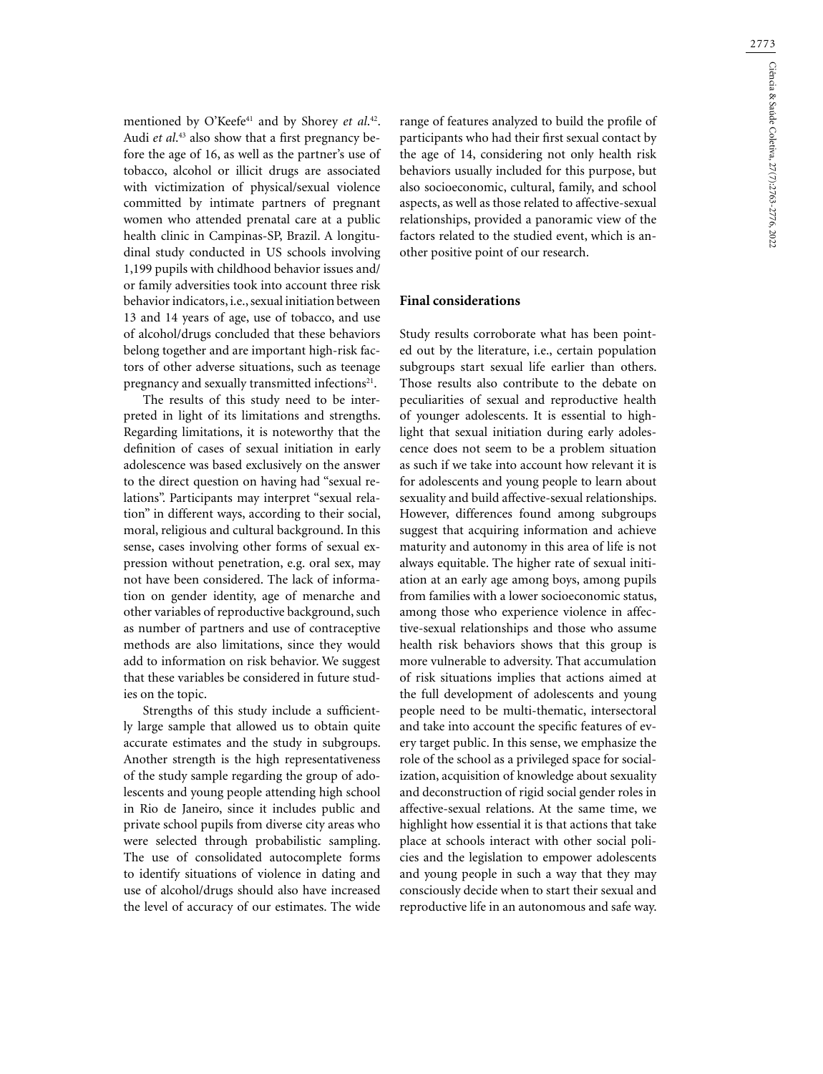mentioned by O'Keefe41 and by Shorey *et al*. 42. Audi *et al*. 43 also show that a first pregnancy before the age of 16, as well as the partner's use of tobacco, alcohol or illicit drugs are associated with victimization of physical/sexual violence committed by intimate partners of pregnant women who attended prenatal care at a public health clinic in Campinas-SP, Brazil. A longitudinal study conducted in US schools involving 1,199 pupils with childhood behavior issues and/ or family adversities took into account three risk behavior indicators, i.e., sexual initiation between 13 and 14 years of age, use of tobacco, and use of alcohol/drugs concluded that these behaviors belong together and are important high-risk factors of other adverse situations, such as teenage pregnancy and sexually transmitted infections<sup>21</sup>.

The results of this study need to be interpreted in light of its limitations and strengths. Regarding limitations, it is noteworthy that the definition of cases of sexual initiation in early adolescence was based exclusively on the answer to the direct question on having had "sexual relations". Participants may interpret "sexual relation" in different ways, according to their social, moral, religious and cultural background. In this sense, cases involving other forms of sexual expression without penetration, e.g. oral sex, may not have been considered. The lack of information on gender identity, age of menarche and other variables of reproductive background, such as number of partners and use of contraceptive methods are also limitations, since they would add to information on risk behavior. We suggest that these variables be considered in future studies on the topic.

Strengths of this study include a sufficiently large sample that allowed us to obtain quite accurate estimates and the study in subgroups. Another strength is the high representativeness of the study sample regarding the group of adolescents and young people attending high school in Rio de Janeiro, since it includes public and private school pupils from diverse city areas who were selected through probabilistic sampling. The use of consolidated autocomplete forms to identify situations of violence in dating and use of alcohol/drugs should also have increased the level of accuracy of our estimates. The wide range of features analyzed to build the profile of participants who had their first sexual contact by the age of 14, considering not only health risk behaviors usually included for this purpose, but also socioeconomic, cultural, family, and school aspects, as well as those related to affective-sexual relationships, provided a panoramic view of the factors related to the studied event, which is another positive point of our research.

## **Final considerations**

Study results corroborate what has been pointed out by the literature, i.e., certain population subgroups start sexual life earlier than others. Those results also contribute to the debate on peculiarities of sexual and reproductive health of younger adolescents. It is essential to highlight that sexual initiation during early adolescence does not seem to be a problem situation as such if we take into account how relevant it is for adolescents and young people to learn about sexuality and build affective-sexual relationships. However, differences found among subgroups suggest that acquiring information and achieve maturity and autonomy in this area of life is not always equitable. The higher rate of sexual initiation at an early age among boys, among pupils from families with a lower socioeconomic status, among those who experience violence in affective-sexual relationships and those who assume health risk behaviors shows that this group is more vulnerable to adversity. That accumulation of risk situations implies that actions aimed at the full development of adolescents and young people need to be multi-thematic, intersectoral and take into account the specific features of every target public. In this sense, we emphasize the role of the school as a privileged space for socialization, acquisition of knowledge about sexuality and deconstruction of rigid social gender roles in affective-sexual relations. At the same time, we highlight how essential it is that actions that take place at schools interact with other social policies and the legislation to empower adolescents and young people in such a way that they may consciously decide when to start their sexual and reproductive life in an autonomous and safe way.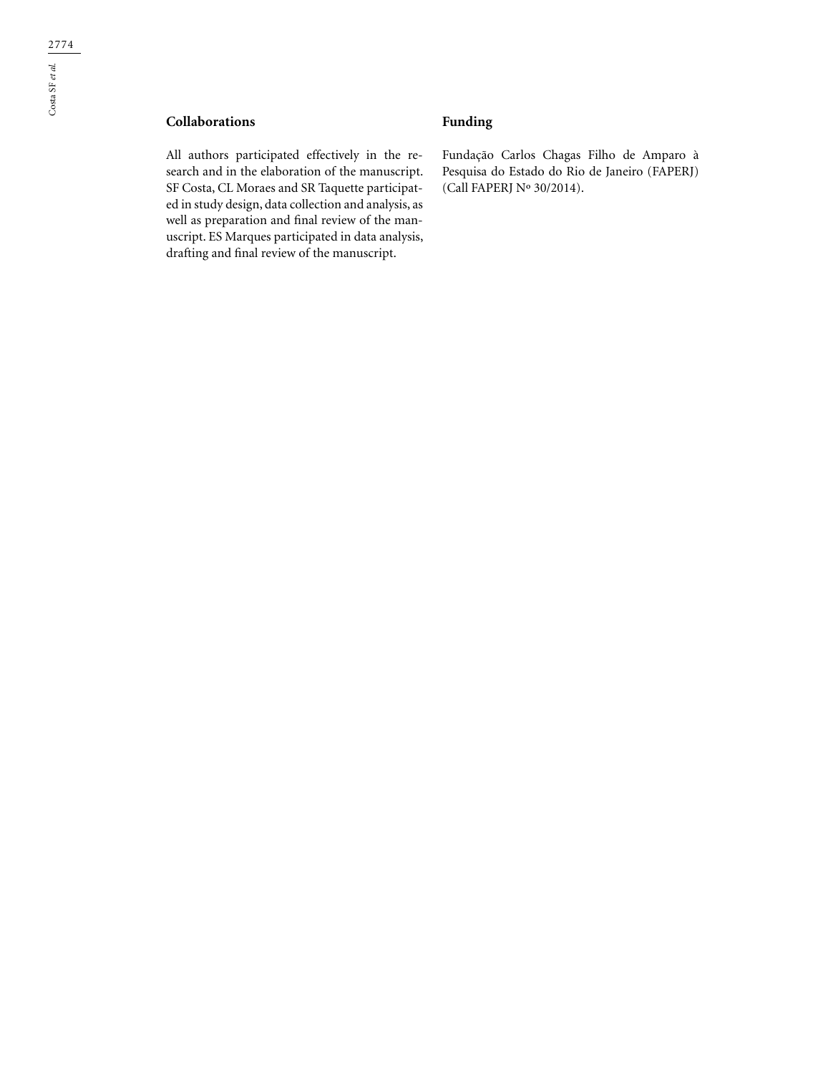# **Collaborations**

All authors participated effectively in the research and in the elaboration of the manuscript. SF Costa, CL Moraes and SR Taquette participated in study design, data collection and analysis, as well as preparation and final review of the manuscript. ES Marques participated in data analysis, drafting and final review of the manuscript.

# **Funding**

Fundação Carlos Chagas Filho de Amparo à Pesquisa do Estado do Rio de Janeiro (FAPERJ) (Call FAPERJ Nº 30/2014).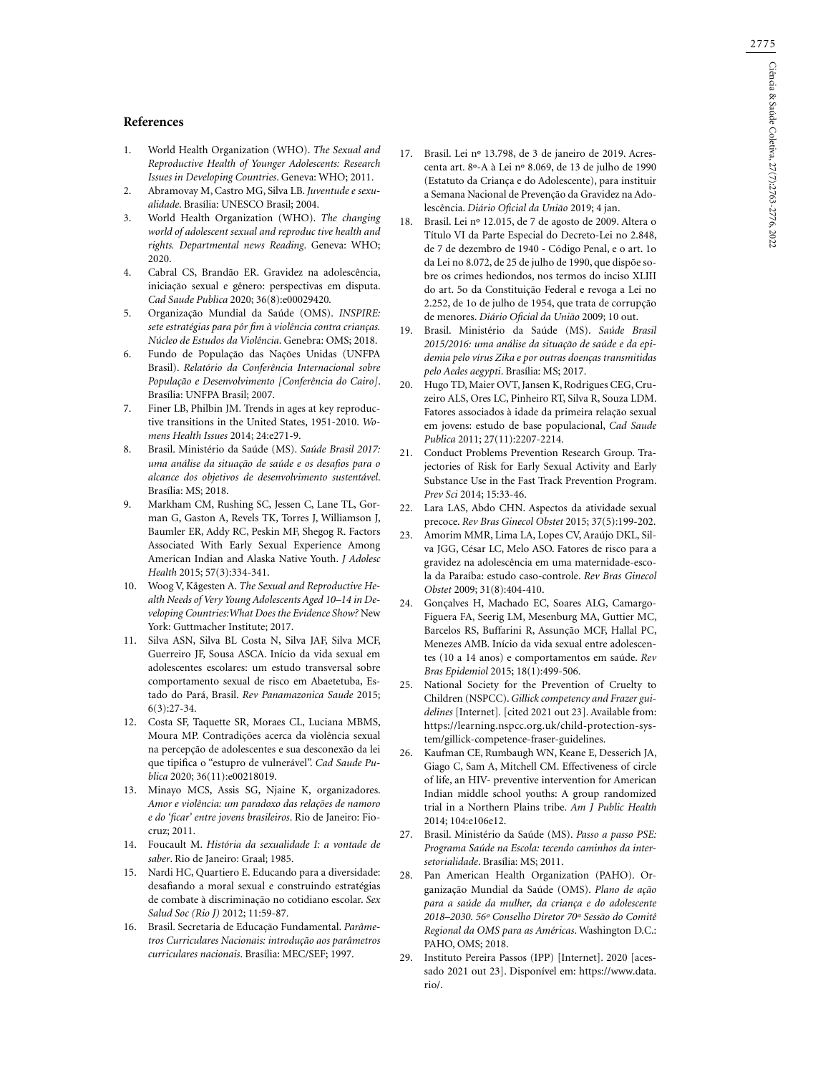2775

### **References**

- 1. World Health Organization (WHO). *The Sexual and Reproductive Health of Younger Adolescents: Research Issues in Developing Countries*. Geneva: WHO; 2011.
- 2. Abramovay M, Castro MG, Silva LB. *Juventude e sexualidade*. Brasília: UNESCO Brasil; 2004.
- 3. World Health Organization (WHO). *The changing world of adolescent sexual and reproduc tive health and rights. Departmental news Reading*. Geneva: WHO; 2020.
- 4. Cabral CS, Brandão ER. Gravidez na adolescência, iniciação sexual e gênero: perspectivas em disputa. *Cad Saude Publica* 2020; 36(8):e00029420*.*
- 5. Organização Mundial da Saúde (OMS). *INSPIRE: sete estratégias para pôr fim à violência contra crianças. Núcleo de Estudos da Violência*. Genebra: OMS; 2018.
- 6. Fundo de População das Nações Unidas (UNFPA Brasil). *Relatório da Conferência Internacional sobre População e Desenvolvimento [Conferência do Cairo]*. Brasília: UNFPA Brasil; 2007.
- 7. Finer LB, Philbin JM. Trends in ages at key reproductive transitions in the United States, 1951-2010. *Womens Health Issues* 2014; 24:e271-9.
- 8. Brasil. Ministério da Saúde (MS). *Saúde Brasil 2017: uma análise da situação de saúde e os desafios para o alcance dos objetivos de desenvolvimento sustentável*. Brasília: MS; 2018.
- 9. Markham CM, Rushing SC, Jessen C, Lane TL, Gorman G, Gaston A, Revels TK, Torres J, Williamson J, Baumler ER, Addy RC, Peskin MF, Shegog R. Factors Associated With Early Sexual Experience Among American Indian and Alaska Native Youth. *J Adolesc Health* 2015; 57(3):334-341.
- 10. Woog V, Kågesten A. *The Sexual and Reproductive Health Needs of Very Young Adolescents Aged 10–14 in Developing Countries:What Does the Evidence Show?* New York: Guttmacher Institute; 2017.
- 11. Silva ASN, Silva BL Costa N, Silva JAF, Silva MCF, Guerreiro JF, Sousa ASCA. Início da vida sexual em adolescentes escolares: um estudo transversal sobre comportamento sexual de risco em Abaetetuba, Estado do Pará, Brasil. *Rev Panamazonica Saude* 2015; 6(3):27-34.
- 12. Costa SF, Taquette SR, Moraes CL, Luciana MBMS, Moura MP. Contradições acerca da violência sexual na percepção de adolescentes e sua desconexão da lei que tipifica o "estupro de vulnerável". *Cad Saude Publica* 2020; 36(11):e00218019.
- 13. Minayo MCS, Assis SG, Njaine K, organizadores. *Amor e violência: um paradoxo das relações de namoro e do 'ficar' entre jovens brasileiros*. Rio de Janeiro: Fiocruz; 2011.
- 14. Foucault M. *História da sexualidade I: a vontade de saber*. Rio de Janeiro: Graal; 1985.
- 15. Nardi HC, Quartiero E. Educando para a diversidade: desafiando a moral sexual e construindo estratégias de combate à discriminação no cotidiano escolar. *Sex Salud Soc (Rio J)* 2012; 11:59-87.
- 16. Brasil. Secretaria de Educação Fundamental. *Parâmetros Curriculares Nacionais: introdução aos parâmetros curriculares nacionais*. Brasília: MEC/SEF; 1997.
- Brasil. Lei nº 13.798, de 3 de janeiro de 2019. Acrescenta art. 8º-A à Lei nº 8.069, de 13 de julho de 1990 (Estatuto da Criança e do Adolescente), para instituir a Semana Nacional de Prevenção da Gravidez na Adolescência. *Diário Oficial da União* 2019; 4 jan.
- 18. Brasil. Lei nº 12.015, de 7 de agosto de 2009. Altera o Título VI da Parte Especial do Decreto-Lei no 2.848, de 7 de dezembro de 1940 - Código Penal, e o art. 1o da Lei no 8.072, de 25 de julho de 1990, que dispõe sobre os crimes hediondos, nos termos do inciso XLIII do art. 5o da Constituição Federal e revoga a Lei no 2.252, de 1o de julho de 1954, que trata de corrupção de menores. *Diário Oficial da União* 2009; 10 out.
- 19. Brasil. Ministério da Saúde (MS). *Saúde Brasil 2015/2016: uma análise da situação de saúde e da epidemia pelo vírus Zika e por outras doenças transmitidas pelo Aedes aegypti*. Brasília: MS; 2017.
- 20. Hugo TD, Maier OVT, Jansen K, Rodrigues CEG, Cruzeiro ALS, Ores LC, Pinheiro RT, Silva R, Souza LDM. Fatores associados à idade da primeira relação sexual em jovens: estudo de base populacional, *Cad Saude Publica* 2011; 27(11):2207-2214.
- 21. Conduct Problems Prevention Research Group. Trajectories of Risk for Early Sexual Activity and Early Substance Use in the Fast Track Prevention Program. *Prev Sci* 2014; 15:33-46.
- 22. Lara LAS, Abdo CHN. Aspectos da atividade sexual precoce. *Rev Bras Ginecol Obstet* 2015; 37(5):199-202.
- 23. Amorim MMR, Lima LA, Lopes CV, Araújo DKL, Silva JGG, César LC, Melo ASO. Fatores de risco para a gravidez na adolescência em uma maternidade-escola da Paraíba: estudo caso-controle. *Rev Bras Ginecol Obstet* 2009; 31(8):404-410.
- 24. Gonçalves H, Machado EC, Soares ALG, Camargo-Figuera FA, Seerig LM, Mesenburg MA, Guttier MC, Barcelos RS, Buffarini R, Assunção MCF, Hallal PC, Menezes AMB. Início da vida sexual entre adolescentes (10 a 14 anos) e comportamentos em saúde. *Rev Bras Epidemiol* 2015; 18(1):499-506.
- 25. National Society for the Prevention of Cruelty to Children (NSPCC). *Gillick competency and Frazer guidelines* [Internet]*.* [cited 2021 out 23]. Available from: https://learning.nspcc.org.uk/child-protection-system/gillick-competence-fraser-guidelines.
- 26. Kaufman CE, Rumbaugh WN, Keane E, Desserich JA, Giago C, Sam A, Mitchell CM. Effectiveness of circle of life, an HIV- preventive intervention for American Indian middle school youths: A group randomized trial in a Northern Plains tribe. *Am J Public Health*  2014; 104:e106e12.
- 27. Brasil. Ministério da Saúde (MS). *Passo a passo PSE: Programa Saúde na Escola: tecendo caminhos da intersetorialidade*. Brasília: MS; 2011.
- 28. Pan American Health Organization (PAHO). Organização Mundial da Saúde (OMS). *Plano de ação para a saúde da mulher, da criança e do adolescente 2018–2030. 56º Conselho Diretor 70ª Sessão do Comitê Regional da OMS para as Américas*. Washington D.C.: PAHO, OMS; 2018.
- 29. Instituto Pereira Passos (IPP) [Internet]. 2020 [acessado 2021 out 23]. Disponível em: https://www.data. rio/.